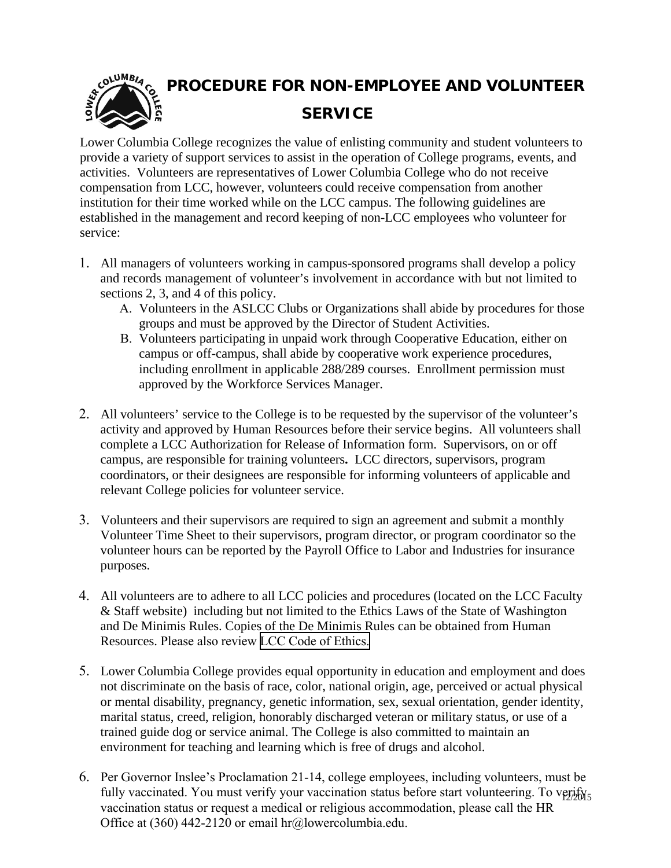

**PROCEDURE FOR NON-EMPLOYEE AND VOLUNTEER SERVICE** 

Lower Columbia College recognizes the value of enlisting community and student volunteers to provide a variety of support services to assist in the operation of College programs, events, and activities. Volunteers are representatives of Lower Columbia College who do not receive compensation from LCC, however, volunteers could receive compensation from another institution for their time worked while on the LCC campus. The following guidelines are established in the management and record keeping of non-LCC employees who volunteer for service:

- 1. All managers of volunteers working in campus-sponsored programs shall develop a policy and records management of volunteer's involvement in accordance with but not limited to sections 2, 3, and 4 of this policy.
	- A. Volunteers in the ASLCC Clubs or Organizations shall abide by procedures for those groups and must be approved by the Director of Student Activities.
	- B. Volunteers participating in unpaid work through Cooperative Education, either on campus or off-campus, shall abide by cooperative work experience procedures, including enrollment in applicable 288/289 courses. Enrollment permission must approved by the Workforce Services Manager.
- 2. All volunteers' service to the College is to be requested by the supervisor of the volunteer's activity and approved by Human Resources before their service begins. All volunteers shall complete a LCC Authorization for Release of Information form. Supervisors, on or off campus, are responsible for training volunteers**.** LCC directors, supervisors, program coordinators, or their designees are responsible for informing volunteers of applicable and relevant College policies for volunteer service.
- 3. Volunteers and their supervisors are required to sign an agreement and submit a monthly Volunteer Time Sheet to their supervisors, program director, or program coordinator so the volunteer hours can be reported by the Payroll Office to Labor and Industries for insurance purposes.
- 4. All volunteers are to adhere to all LCC policies and procedures (located on the LCC Faculty & Staff website) including but not limited to the Ethics Laws of the State of Washington and De Minimis Rules. Copies of the De Minimis Rules can be obtained from Human Resources. Please also review [LCC Code of Ethics.](http://internal.lowercolumbia.edu/departments/human-resources/_assets/documents/CodeofEthics.pdf)
- 5. Lower Columbia College provides equal opportunity in education and employment and does not discriminate on the basis of race, color, national origin, age, perceived or actual physical or mental disability, pregnancy, genetic information, sex, sexual orientation, gender identity, marital status, creed, religion, honorably discharged veteran or military status, or use of a trained guide dog or service animal. The College is also committed to maintain an environment for teaching and learning which is free of drugs and alcohol.
- 6. Per Governor Inslee's Proclamation 21-14, college employees, including volunteers, must be fully vaccinated. You must verify your vaccination status before start volunteering. To verify<sub>5</sub> vaccination status or request a medical or religious accommodation, please call the HR Office at (360) 442-2120 or email hr@lowercolumbia.edu.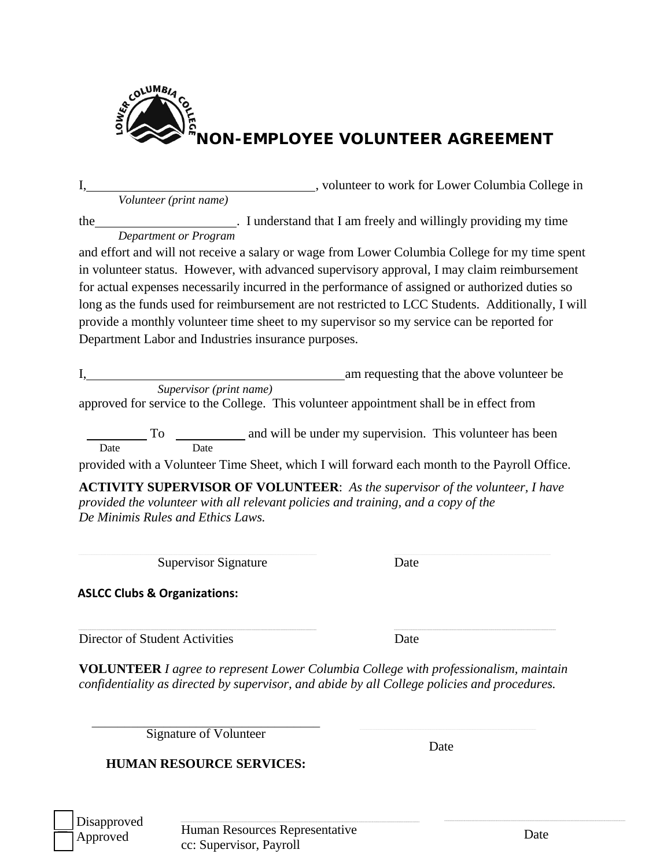

I, volunteer to work for Lower Columbia College in *Volunteer (print name)* the . I understand that I am freely and willingly providing my time *Department or Program* and effort and will not receive a salary or wage from Lower Columbia College for my time spent in volunteer status. However, with advanced supervisory approval, I may claim reimbursement for actual expenses necessarily incurred in the performance of assigned or authorized duties so long as the funds used for reimbursement are not restricted to LCC Students. Additionally, I will provide a monthly volunteer time sheet to my supervisor so my service can be reported for Department Labor and Industries insurance purposes. am requesting that the above volunteer be *Supervisor (print name)* approved for service to the College. This volunteer appointment shall be in effect from To \_\_\_\_\_\_\_\_\_\_\_\_\_ and will be under my supervision. This volunteer has been Date Date provided with a Volunteer Time Sheet, which I will forward each month to the Payroll Office. **ACTIVITY SUPERVISOR OF VOLUNTEER**: *As the supervisor of the volunteer, I have provided the volunteer with all relevant policies and training, and a copy of the De Minimis Rules and Ethics Laws.*

Supervisor Signature Date

**ASLCC Clubs & Organizations:**

Director of Student Activities Date

**VOLUNTEER** *I agree to represent Lower Columbia College with professionalism, maintain confidentiality as directed by supervisor, and abide by all College policies and procedures.*

UUUUUUUUUUUUUUUUUUUUUUUUUUUUUUUUUUUUUUUUUUUUUUUUUUUUUUUUUUUUUUUUUUUUUUUUUUUUUUUUUUUUUUUUUUUUUUUUUUUUUUUUUUUUUUUUUUUUUUUUUUUUUUUUUUUUUUUUUUUUUUUUUUUUUUUUUUUUUUUUUUUUUUUUUUUUUUUUUUUUUUUUUUUUUUUUUUUUUUUUUUUUUUUUUUUUUUUUUUUUUUUUUUUUUUUUUUUUUUUUUUUUUUUUUUUUUUUUUUUUUUUUUUUUUUUUUUUUUUUUUUUUUUUUUUUUUUUUUUUUU UUUUUUUUUUUUUUUUUUUUUUUUUUUUUUUUUUUUUUUUUUUUUUUUUUUUUUUUUUUUUUUUUUUUUUUUUUUUUUUUUUUUUUUUUUUUUUUUUUUUUUUUUUUUUUUUUUUUUUUUUUUUUUUUUUUUUUUUUUUUUUUUUUUUUUUUUUUUUUUUUUUUUUUUUUUUUUUUUUUUUUUUUUUUUUUUUUUUUUUUUUUUU

Signature of Volunteer

Date

# **HUMAN RESOURCE SERVICES:**

 Disapproved Approved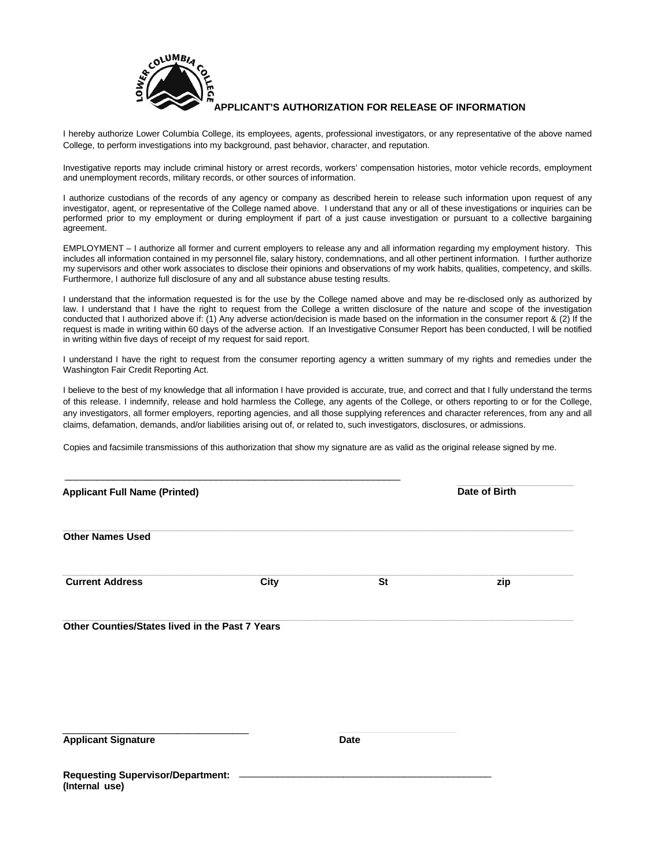

#### **APPLICANT'S AUTHORIZATION FOR RELEASE OF INFORMATION**

I hereby authorize Lower Columbia College, its employees, agents, professional investigators, or any representative of the above named College, to perform investigations into my background, past behavior, character, and reputation.

Investigative reports may include criminal history or arrest records, workers' compensation histories, motor vehicle records, employment and unemployment records, military records, or other sources of information.

I authorize custodians of the records of any agency or company as described herein to release such information upon request of any investigator, agent, or representative of the College named above. I understand that any or all of these investigations or inquiries can be performed prior to my employment or during employment if part of a just cause investigation or pursuant to a collective bargaining agreement.

EMPLOYMENT – I authorize all former and current employers to release any and all information regarding my employment history. This includes all information contained in my personnel file, salary history, condemnations, and all other pertinent information. I further authorize my supervisors and other work associates to disclose their opinions and observations of my work habits, qualities, competency, and skills. Furthermore, I authorize full disclosure of any and all substance abuse testing results.

I understand that the information requested is for the use by the College named above and may be re-disclosed only as authorized by law. I understand that I have the right to request from the College a written disclosure of the nature and scope of the investigation conducted that I authorized above if: (1) Any adverse action/decision is made based on the information in the consumer report & (2) If the request is made in writing within 60 days of the adverse action. If an Investigative Consumer Report has been conducted, I will be notified in writing within five days of receipt of my request for said report.

I understand I have the right to request from the consumer reporting agency a written summary of my rights and remedies under the Washington Fair Credit Reporting Act.

I believe to the best of my knowledge that all information I have provided is accurate, true, and correct and that I fully understand the terms of this release. I indemnify, release and hold harmless the College, any agents of the College, or others reporting to or for the College, any investigators, all former employers, reporting agencies, and all those supplying references and character references, from any and all claims, defamation, demands, and/or liabilities arising out of, or related to, such investigators, disclosures, or admissions.

Copies and facsimile transmissions of this authorization that show my signature are as valid as the original release signed by me.

| <b>Applicant Full Name (Printed)</b>                       |             | Date of Birth |     |
|------------------------------------------------------------|-------------|---------------|-----|
| <b>Other Names Used</b>                                    |             |               |     |
| <b>Current Address</b>                                     | <b>City</b> | <b>St</b>     | zip |
| Other Counties/States lived in the Past 7 Years            |             |               |     |
| <b>Applicant Signature</b>                                 |             | <b>Date</b>   |     |
| <b>Requesting Supervisor/Department:</b><br>(Internal use) |             |               |     |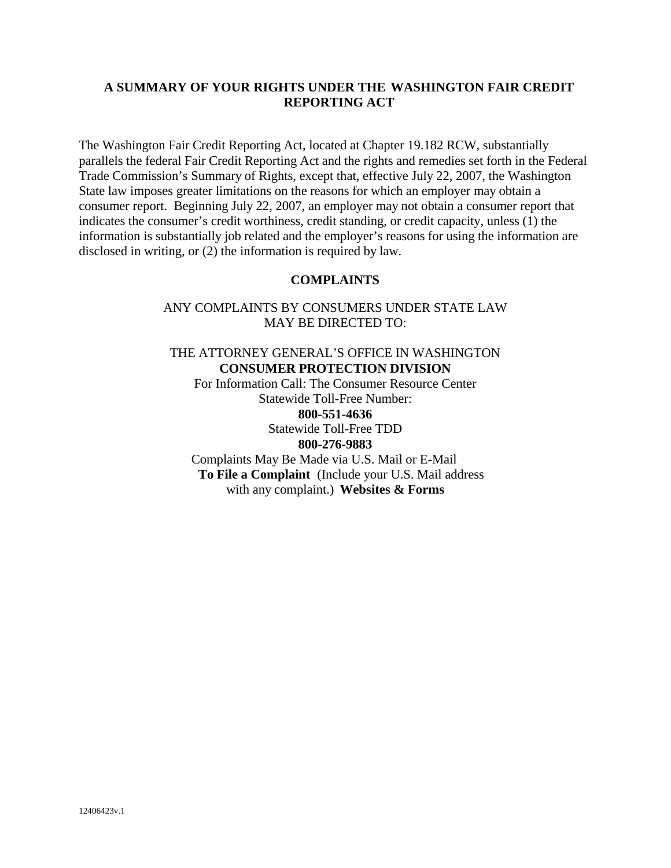### **A SUMMARY OF YOUR RIGHTS UNDER THE WASHINGTON FAIR CREDIT REPORTING ACT**

The Washington Fair Credit Reporting Act, located at Chapter 19.182 RCW, substantially parallels the federal Fair Credit Reporting Act and the rights and remedies set forth in the Federal Trade Commission's Summary of Rights, except that, effective July 22, 2007, the Washington State law imposes greater limitations on the reasons for which an employer may obtain a consumer report. Beginning July 22, 2007, an employer may not obtain a consumer report that indicates the consumer's credit worthiness, credit standing, or credit capacity, unless (1) the information is substantially job related and the employer's reasons for using the information are disclosed in writing, or (2) the information is required by law.

#### **COMPLAINTS**

#### ANY COMPLAINTS BY CONSUMERS UNDER STATE LAW MAY BE DIRECTED TO:

THE ATTORNEY GENERAL'S OFFICE IN WASHINGTON **CONSUMER PROTECTION DIVISION** For Information Call: The Consumer Resource Center Statewide Toll-Free Number: **800-551-4636** Statewide Toll-Free TDD **800-276-9883** Complaints May Be Made via U.S. Mail or E-Mail **To File a Complaint** (Include your U.S. Mail address with any complaint.) **Websites & Forms**